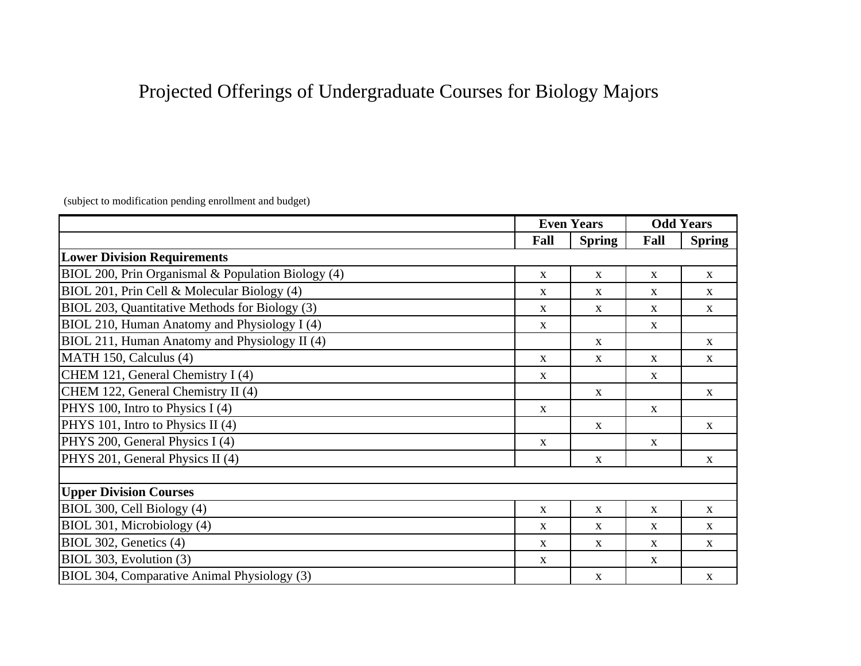## Projected Offerings of Undergraduate Courses for Biology Majors

(subject to modification pending enrollment and budget)

|                                                    | <b>Even Years</b> |               | <b>Odd Years</b> |               |
|----------------------------------------------------|-------------------|---------------|------------------|---------------|
|                                                    | Fall              | <b>Spring</b> | Fall             | <b>Spring</b> |
| <b>Lower Division Requirements</b>                 |                   |               |                  |               |
| BIOL 200, Prin Organismal & Population Biology (4) | $\mathbf X$       | $\mathbf{X}$  | $\mathbf{X}$     | $\mathbf{X}$  |
| BIOL 201, Prin Cell & Molecular Biology (4)        | $\mathbf X$       | X             | $\mathbf{X}$     | $\mathbf{X}$  |
| BIOL 203, Quantitative Methods for Biology (3)     | $\mathbf{X}$      | $\mathbf{X}$  | $\mathbf{X}$     | $\mathbf{X}$  |
| BIOL 210, Human Anatomy and Physiology I (4)       | $\mathbf{X}$      |               | $\mathbf{X}$     |               |
| BIOL 211, Human Anatomy and Physiology II (4)      |                   | $\mathbf{X}$  |                  | $\mathbf{X}$  |
| MATH 150, Calculus (4)                             | $\mathbf{X}$      | $\mathbf{X}$  | $\mathbf{X}$     | $\mathbf X$   |
| CHEM 121, General Chemistry I (4)                  | X                 |               | $\mathbf{X}$     |               |
| CHEM 122, General Chemistry II (4)                 |                   | $\mathbf{X}$  |                  | $\mathbf{X}$  |
| PHYS 100, Intro to Physics I (4)                   | $\mathbf{X}$      |               | $\mathbf{X}$     |               |
| PHYS 101, Intro to Physics II (4)                  |                   | X             |                  | $\mathbf{X}$  |
| PHYS 200, General Physics I (4)                    | X                 |               | $\mathbf{X}$     |               |
| PHYS 201, General Physics II (4)                   |                   | $\mathbf{X}$  |                  | $\mathbf{X}$  |
|                                                    |                   |               |                  |               |
| <b>Upper Division Courses</b>                      |                   |               |                  |               |
| BIOL 300, Cell Biology (4)                         | $\mathbf X$       | $\mathbf X$   | $\mathbf{X}$     | $\mathbf{X}$  |
| BIOL 301, Microbiology (4)                         | X                 | X             | X                | $\mathbf{X}$  |
| BIOL 302, Genetics (4)                             | X                 | X             | $\mathbf{X}$     | $\mathbf{X}$  |
| BIOL 303, Evolution (3)                            | $\mathbf X$       |               | $\mathbf{X}$     |               |
| BIOL 304, Comparative Animal Physiology (3)        |                   | $\mathbf{X}$  |                  | $\mathbf X$   |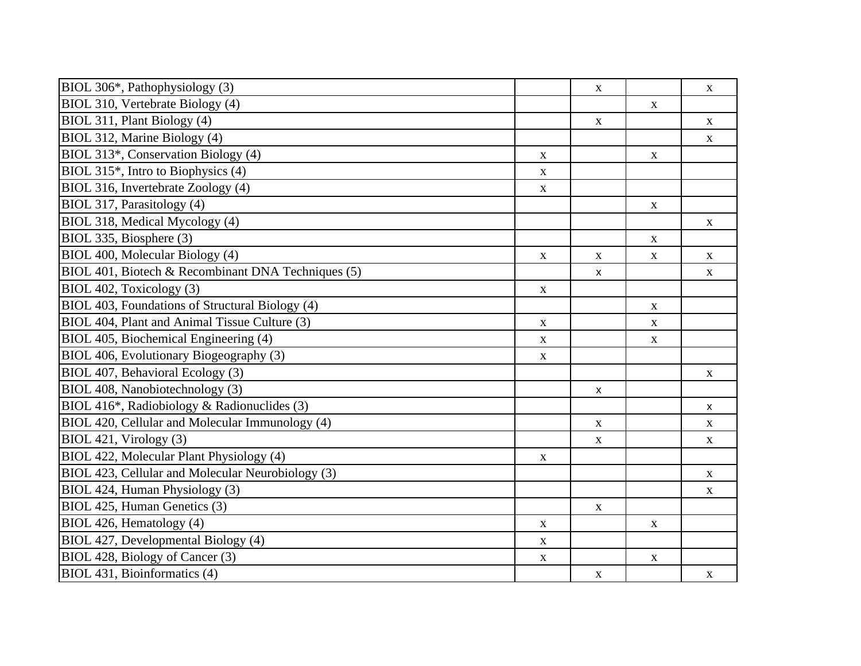| BIOL 306*, Pathophysiology (3)                     |             | $\mathbf X$        |             | $\mathbf X$        |
|----------------------------------------------------|-------------|--------------------|-------------|--------------------|
| BIOL 310, Vertebrate Biology (4)                   |             |                    | $\mathbf X$ |                    |
| BIOL 311, Plant Biology (4)                        |             | $\mathbf X$        |             | $\mathbf{X}$       |
| BIOL 312, Marine Biology (4)                       |             |                    |             | $\mathbf X$        |
| BIOL 313*, Conservation Biology (4)                | $\mathbf X$ |                    | $\mathbf X$ |                    |
| BIOL 315 <sup>*</sup> , Intro to Biophysics (4)    | $\mathbf X$ |                    |             |                    |
| BIOL 316, Invertebrate Zoology (4)                 | $\mathbf X$ |                    |             |                    |
| BIOL 317, Parasitology (4)                         |             |                    | $\mathbf X$ |                    |
| BIOL 318, Medical Mycology (4)                     |             |                    |             | $\mathbf X$        |
| BIOL 335, Biosphere (3)                            |             |                    | $\mathbf X$ |                    |
| BIOL 400, Molecular Biology (4)                    | $\mathbf X$ | $\mathbf X$        | $\mathbf X$ | $\mathbf X$        |
| BIOL 401, Biotech & Recombinant DNA Techniques (5) |             | X                  |             | $\mathbf X$        |
| BIOL 402, Toxicology (3)                           | $\mathbf X$ |                    |             |                    |
| BIOL 403, Foundations of Structural Biology (4)    |             |                    | $\mathbf X$ |                    |
| BIOL 404, Plant and Animal Tissue Culture (3)      | $\mathbf X$ |                    | $\mathbf X$ |                    |
| BIOL 405, Biochemical Engineering (4)              | $\mathbf X$ |                    | $\mathbf X$ |                    |
| BIOL 406, Evolutionary Biogeography (3)            | $\mathbf X$ |                    |             |                    |
| BIOL 407, Behavioral Ecology (3)                   |             |                    |             | $\mathbf X$        |
| BIOL 408, Nanobiotechnology (3)                    |             | $\pmb{\mathsf{x}}$ |             |                    |
| BIOL 416*, Radiobiology & Radionuclides (3)        |             |                    |             | $\pmb{\mathsf{X}}$ |
| BIOL 420, Cellular and Molecular Immunology (4)    |             | $\mathbf X$        |             | $\mathbf X$        |
| BIOL 421, Virology (3)                             |             | $\mathbf X$        |             | $\mathbf X$        |
| BIOL 422, Molecular Plant Physiology (4)           | $\mathbf X$ |                    |             |                    |
| BIOL 423, Cellular and Molecular Neurobiology (3)  |             |                    |             | $\mathbf X$        |
| BIOL 424, Human Physiology (3)                     |             |                    |             | $\mathbf X$        |
| BIOL 425, Human Genetics (3)                       |             | $\mathbf X$        |             |                    |
| BIOL 426, Hematology (4)                           | $\mathbf X$ |                    | $\mathbf X$ |                    |
| BIOL 427, Developmental Biology (4)                | $\mathbf X$ |                    |             |                    |
| BIOL 428, Biology of Cancer (3)                    | $\mathbf X$ |                    | $\mathbf X$ |                    |
| BIOL 431, Bioinformatics (4)                       |             | $\mathbf X$        |             | X                  |